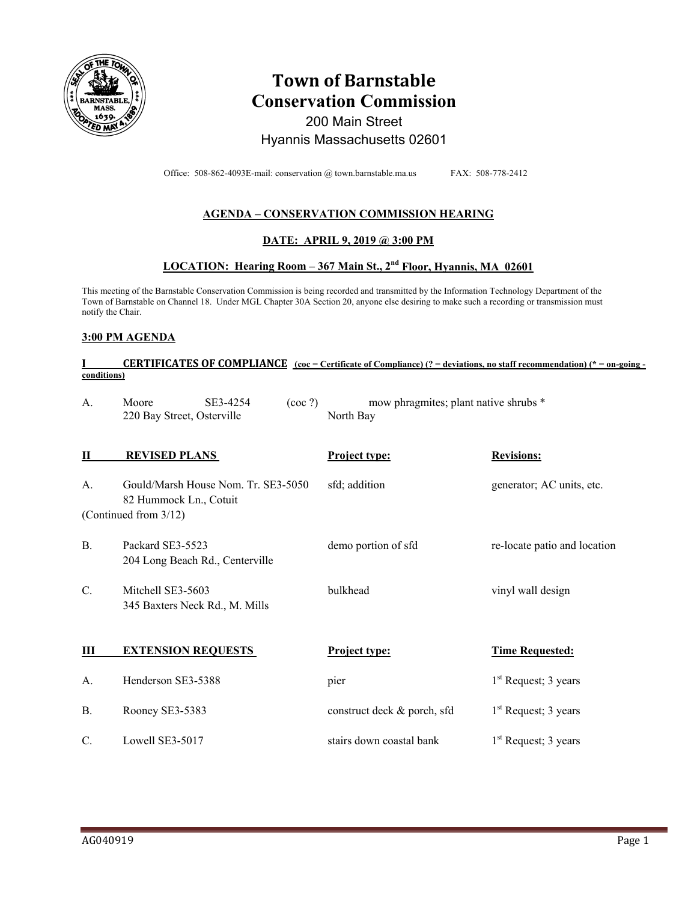

# **Town of Barnstable Conservation Commission**  200 Main Street Hyannis Massachusetts 02601

Office: 508-862-4093E-mail: conservation @ town.barnstable.ma.us FAX: 508-778-2412

## **AGENDA – CONSERVATION COMMISSION HEARING**

## **DATE: APRIL 9, 2019 @ 3:00 PM**

## **LOCATION: Hearing Room – 367 Main St., 2nd Floor, Hyannis, MA 02601**

This meeting of the Barnstable Conservation Commission is being recorded and transmitted by the Information Technology Department of the Town of Barnstable on Channel 18. Under MGL Chapter 30A Section 20, anyone else desiring to make such a recording or transmission must notify the Chair.

#### **3:00 PM AGENDA**

#### **CERTIFICATES OF COMPLIANCE**  $\frac{(\cos \theta - \text{Certificance})}{(\cos \theta - \text{merificance})}$  (? = deviations, no staff recommendation) (\* = on-going **conditions)**

| A.              | SE3-4254<br>Moore<br>$($ coc ? $)$<br>220 Bay Street, Osterville | mow phragmites; plant native shrubs *<br>North Bay |                              |
|-----------------|------------------------------------------------------------------|----------------------------------------------------|------------------------------|
| П               | <b>REVISED PLANS</b>                                             | <b>Project type:</b>                               | <b>Revisions:</b>            |
| A.              | Gould/Marsh House Nom. Tr. SE3-5050<br>82 Hummock Ln., Cotuit    | sfd; addition                                      | generator; AC units, etc.    |
|                 | (Continued from 3/12)                                            |                                                    |                              |
| <b>B.</b>       | Packard SE3-5523<br>204 Long Beach Rd., Centerville              | demo portion of sfd                                | re-locate patio and location |
| $\mathcal{C}$ . | Mitchell SE3-5603<br>345 Baxters Neck Rd., M. Mills              | bulkhead                                           | vinyl wall design            |
|                 |                                                                  |                                                    |                              |
| Ш               | <b>EXTENSION REQUESTS</b>                                        | Project type:                                      | <b>Time Requested:</b>       |
| А.              | Henderson SE3-5388                                               | pier                                               | $1st$ Request; 3 years       |
| <b>B.</b>       | Rooney SE3-5383                                                  | construct deck & porch, sfd                        | $1st$ Request; 3 years       |
| C.              | Lowell SE3-5017                                                  | stairs down coastal bank                           | $1st$ Request; 3 years       |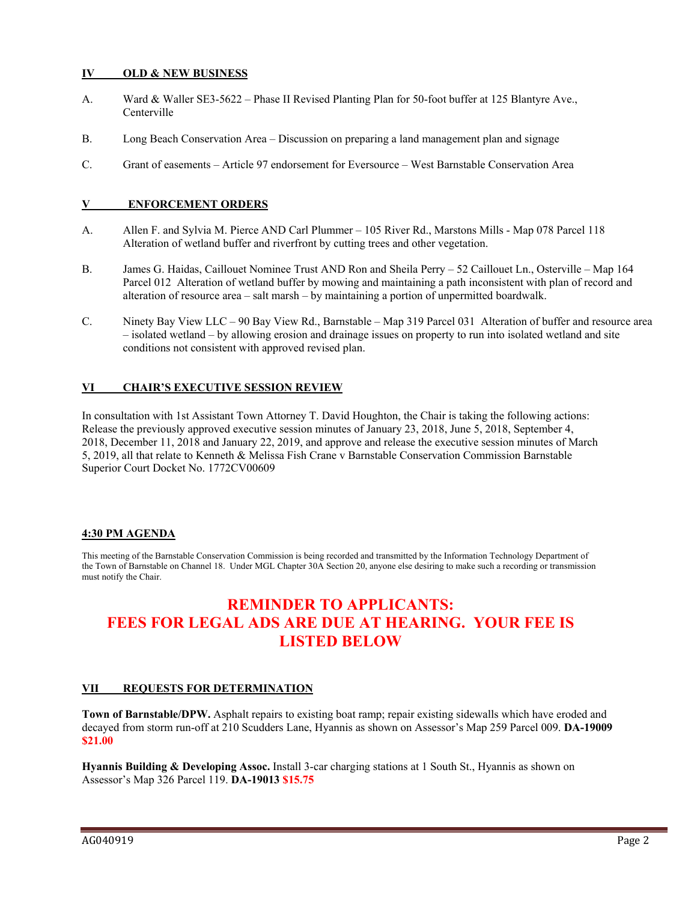#### **IV OLD & NEW BUSINESS**

- A. Ward & Waller SE3-5622 Phase II Revised Planting Plan for 50-foot buffer at 125 Blantyre Ave., Centerville
- B. Long Beach Conservation Area Discussion on preparing a land management plan and signage
- C. Grant of easements Article 97 endorsement for Eversource West Barnstable Conservation Area

#### **V ENFORCEMENT ORDERS**

- A. Allen F. and Sylvia M. Pierce AND Carl Plummer 105 River Rd., Marstons Mills Map 078 Parcel 118 Alteration of wetland buffer and riverfront by cutting trees and other vegetation.
- B. James G. Haidas, Caillouet Nominee Trust AND Ron and Sheila Perry 52 Caillouet Ln., Osterville Map 164 Parcel 012 Alteration of wetland buffer by mowing and maintaining a path inconsistent with plan of record and alteration of resource area – salt marsh – by maintaining a portion of unpermitted boardwalk.
- C. Ninety Bay View LLC 90 Bay View Rd., Barnstable Map 319 Parcel 031 Alteration of buffer and resource area – isolated wetland – by allowing erosion and drainage issues on property to run into isolated wetland and site conditions not consistent with approved revised plan.

#### **VI CHAIR'S EXECUTIVE SESSION REVIEW**

In consultation with 1st Assistant Town Attorney T. David Houghton, the Chair is taking the following actions: Release the previously approved executive session minutes of January 23, 2018, June 5, 2018, September 4, 2018, December 11, 2018 and January 22, 2019, and approve and release the executive session minutes of March 5, 2019, all that relate to Kenneth & Melissa Fish Crane v Barnstable Conservation Commission Barnstable Superior Court Docket No. 1772CV00609

#### **4:30 PM AGENDA**

This meeting of the Barnstable Conservation Commission is being recorded and transmitted by the Information Technology Department of the Town of Barnstable on Channel 18. Under MGL Chapter 30A Section 20, anyone else desiring to make such a recording or transmission must notify the Chair.

## **REMINDER TO APPLICANTS: FEES FOR LEGAL ADS ARE DUE AT HEARING. YOUR FEE IS LISTED BELOW**

#### **VII REQUESTS FOR DETERMINATION**

**Town of Barnstable/DPW.** Asphalt repairs to existing boat ramp; repair existing sidewalls which have eroded and decayed from storm run-off at 210 Scudders Lane, Hyannis as shown on Assessor's Map 259 Parcel 009. **DA-19009 \$21.00** 

**Hyannis Building & Developing Assoc.** Install 3-car charging stations at 1 South St., Hyannis as shown on Assessor's Map 326 Parcel 119. **DA-19013 \$15.75**